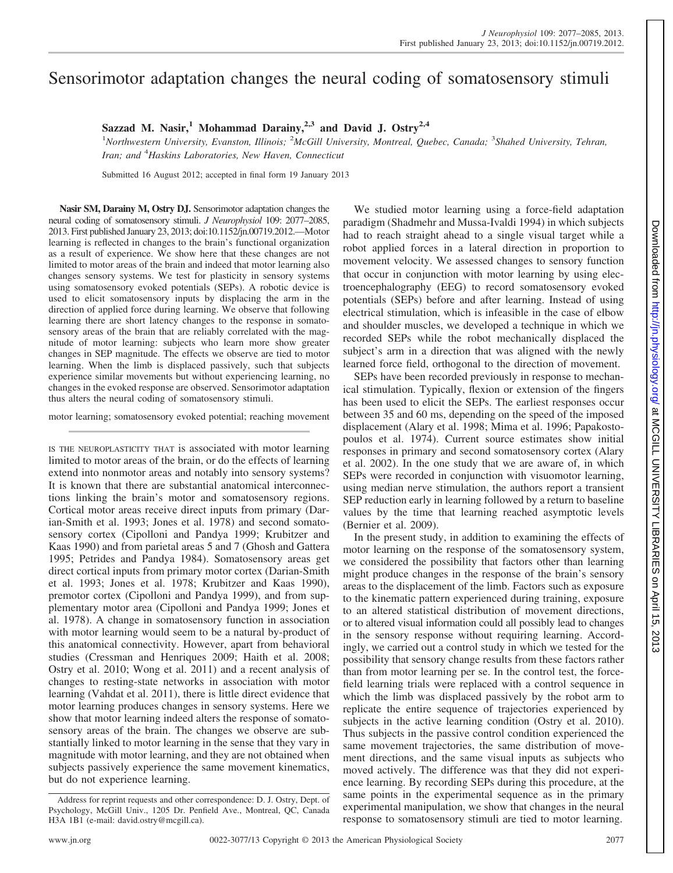# Sensorimotor adaptation changes the neural coding of somatosensory stimuli

**Sazzad M. Nasir,<sup>1</sup> Mohammad Darainy,2,3 and David J. Ostry2,4**

<sup>1</sup>Northwestern University, Evanston, Illinois; <sup>2</sup>McGill University, Montreal, Quebec, Canada; <sup>3</sup>Shahed University, Tehran, *Iran; and* <sup>4</sup> *Haskins Laboratories, New Haven, Connecticut*

Submitted 16 August 2012; accepted in final form 19 January 2013

**Nasir SM, Darainy M, Ostry DJ.** Sensorimotor adaptation changes the neural coding of somatosensory stimuli. *J Neurophysiol* 109: 2077–2085, 2013. First published January 23, 2013; doi:10.1152/jn.00719.2012.—Motor learning is reflected in changes to the brain's functional organization as a result of experience. We show here that these changes are not limited to motor areas of the brain and indeed that motor learning also changes sensory systems. We test for plasticity in sensory systems using somatosensory evoked potentials (SEPs). A robotic device is used to elicit somatosensory inputs by displacing the arm in the direction of applied force during learning. We observe that following learning there are short latency changes to the response in somatosensory areas of the brain that are reliably correlated with the magnitude of motor learning: subjects who learn more show greater changes in SEP magnitude. The effects we observe are tied to motor learning. When the limb is displaced passively, such that subjects experience similar movements but without experiencing learning, no changes in the evoked response are observed. Sensorimotor adaptation thus alters the neural coding of somatosensory stimuli.

motor learning; somatosensory evoked potential; reaching movement

IS THE NEUROPLASTICITY THAT is associated with motor learning limited to motor areas of the brain, or do the effects of learning extend into nonmotor areas and notably into sensory systems? It is known that there are substantial anatomical interconnections linking the brain's motor and somatosensory regions. Cortical motor areas receive direct inputs from primary (Darian-Smith et al. 1993; Jones et al. 1978) and second somatosensory cortex (Cipolloni and Pandya 1999; Krubitzer and Kaas 1990) and from parietal areas 5 and 7 (Ghosh and Gattera 1995; Petrides and Pandya 1984). Somatosensory areas get direct cortical inputs from primary motor cortex (Darian-Smith et al. 1993; Jones et al. 1978; Krubitzer and Kaas 1990), premotor cortex (Cipolloni and Pandya 1999), and from supplementary motor area (Cipolloni and Pandya 1999; Jones et al. 1978). A change in somatosensory function in association with motor learning would seem to be a natural by-product of this anatomical connectivity. However, apart from behavioral studies (Cressman and Henriques 2009; Haith et al. 2008; Ostry et al. 2010; Wong et al. 2011) and a recent analysis of changes to resting-state networks in association with motor learning (Vahdat et al. 2011), there is little direct evidence that motor learning produces changes in sensory systems. Here we show that motor learning indeed alters the response of somatosensory areas of the brain. The changes we observe are substantially linked to motor learning in the sense that they vary in magnitude with motor learning, and they are not obtained when subjects passively experience the same movement kinematics, but do not experience learning.

We studied motor learning using a force-field adaptation paradigm (Shadmehr and Mussa-Ivaldi 1994) in which subjects had to reach straight ahead to a single visual target while a robot applied forces in a lateral direction in proportion to movement velocity. We assessed changes to sensory function that occur in conjunction with motor learning by using electroencephalography (EEG) to record somatosensory evoked potentials (SEPs) before and after learning. Instead of using electrical stimulation, which is infeasible in the case of elbow and shoulder muscles, we developed a technique in which we recorded SEPs while the robot mechanically displaced the subject's arm in a direction that was aligned with the newly learned force field, orthogonal to the direction of movement.

SEPs have been recorded previously in response to mechanical stimulation. Typically, flexion or extension of the fingers has been used to elicit the SEPs. The earliest responses occur between 35 and 60 ms, depending on the speed of the imposed displacement (Alary et al. 1998; Mima et al. 1996; Papakostopoulos et al. 1974). Current source estimates show initial responses in primary and second somatosensory cortex (Alary et al. 2002). In the one study that we are aware of, in which SEPs were recorded in conjunction with visuomotor learning, using median nerve stimulation, the authors report a transient SEP reduction early in learning followed by a return to baseline values by the time that learning reached asymptotic levels (Bernier et al. 2009).

In the present study, in addition to examining the effects of motor learning on the response of the somatosensory system, we considered the possibility that factors other than learning might produce changes in the response of the brain's sensory areas to the displacement of the limb. Factors such as exposure to the kinematic pattern experienced during training, exposure to an altered statistical distribution of movement directions, or to altered visual information could all possibly lead to changes in the sensory response without requiring learning. Accordingly, we carried out a control study in which we tested for the possibility that sensory change results from these factors rather than from motor learning per se. In the control test, the forcefield learning trials were replaced with a control sequence in which the limb was displaced passively by the robot arm to replicate the entire sequence of trajectories experienced by subjects in the active learning condition (Ostry et al. 2010). Thus subjects in the passive control condition experienced the same movement trajectories, the same distribution of movement directions, and the same visual inputs as subjects who moved actively. The difference was that they did not experience learning. By recording SEPs during this procedure, at the same points in the experimental sequence as in the primary experimental manipulation, we show that changes in the neural response to somatosensory stimuli are tied to motor learning.

Address for reprint requests and other correspondence: D. J. Ostry, Dept. of Psychology, McGill Univ., 1205 Dr. Penfield Ave., Montreal, QC, Canada H3A 1B1 (e-mail: david.ostry@mcgill.ca).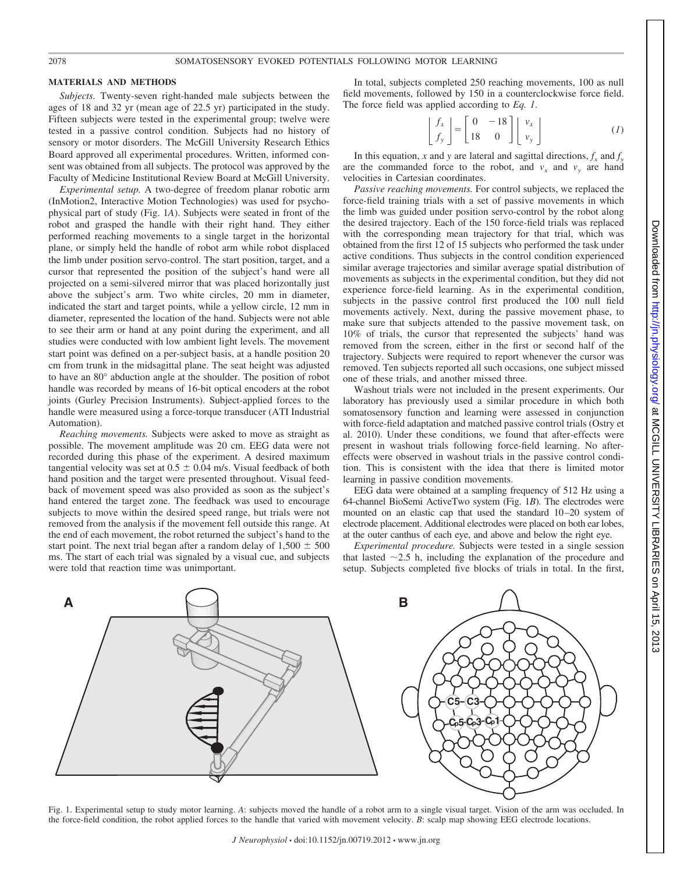### 2078 SOMATOSENSORY EVOKED POTENTIALS FOLLOWING MOTOR LEARNING

#### **MATERIALS AND METHODS**

*Subjects.* Twenty-seven right-handed male subjects between the ages of 18 and 32 yr (mean age of 22.5 yr) participated in the study. Fifteen subjects were tested in the experimental group; twelve were tested in a passive control condition. Subjects had no history of sensory or motor disorders. The McGill University Research Ethics Board approved all experimental procedures. Written, informed consent was obtained from all subjects. The protocol was approved by the Faculty of Medicine Institutional Review Board at McGill University.

*Experimental setup.* A two-degree of freedom planar robotic arm (InMotion2, Interactive Motion Technologies) was used for psychophysical part of study (Fig. 1*A*). Subjects were seated in front of the robot and grasped the handle with their right hand. They either performed reaching movements to a single target in the horizontal plane, or simply held the handle of robot arm while robot displaced the limb under position servo-control. The start position, target, and a cursor that represented the position of the subject's hand were all projected on a semi-silvered mirror that was placed horizontally just above the subject's arm. Two white circles, 20 mm in diameter, indicated the start and target points, while a yellow circle, 12 mm in diameter, represented the location of the hand. Subjects were not able to see their arm or hand at any point during the experiment, and all studies were conducted with low ambient light levels. The movement start point was defined on a per-subject basis, at a handle position 20 cm from trunk in the midsagittal plane. The seat height was adjusted to have an 80° abduction angle at the shoulder. The position of robot handle was recorded by means of 16-bit optical encoders at the robot joints (Gurley Precision Instruments). Subject-applied forces to the handle were measured using a force-torque transducer (ATI Industrial Automation).

*Reaching movements.* Subjects were asked to move as straight as possible. The movement amplitude was 20 cm. EEG data were not recorded during this phase of the experiment. A desired maximum tangential velocity was set at  $0.5 \pm 0.04$  m/s. Visual feedback of both hand position and the target were presented throughout. Visual feedback of movement speed was also provided as soon as the subject's hand entered the target zone. The feedback was used to encourage subjects to move within the desired speed range, but trials were not removed from the analysis if the movement fell outside this range. At the end of each movement, the robot returned the subject's hand to the start point. The next trial began after a random delay of  $1,500 \pm 500$ ms. The start of each trial was signaled by a visual cue, and subjects were told that reaction time was unimportant.

In total, subjects completed 250 reaching movements, 100 as null field movements, followed by 150 in a counterclockwise force field. The force field was applied according to *Eq. 1*.

$$
\begin{bmatrix} f_x \\ f_y \end{bmatrix} = \begin{bmatrix} 0 & -18 \\ 18 & 0 \end{bmatrix} \begin{bmatrix} v_x \\ v_y \end{bmatrix}
$$
 (1)

In this equation, *x* and *y* are lateral and sagittal directions,  $f_x$  and  $f_y$ are the commanded force to the robot, and  $v_x$  and  $v_y$  are hand velocities in Cartesian coordinates.

*Passive reaching movements.* For control subjects, we replaced the force-field training trials with a set of passive movements in which the limb was guided under position servo-control by the robot along the desired trajectory. Each of the 150 force-field trials was replaced with the corresponding mean trajectory for that trial, which was obtained from the first 12 of 15 subjects who performed the task under active conditions. Thus subjects in the control condition experienced similar average trajectories and similar average spatial distribution of movements as subjects in the experimental condition, but they did not experience force-field learning. As in the experimental condition, subjects in the passive control first produced the 100 null field movements actively. Next, during the passive movement phase, to make sure that subjects attended to the passive movement task, on 10% of trials, the cursor that represented the subjects' hand was removed from the screen, either in the first or second half of the trajectory. Subjects were required to report whenever the cursor was removed. Ten subjects reported all such occasions, one subject missed one of these trials, and another missed three.

Washout trials were not included in the present experiments. Our laboratory has previously used a similar procedure in which both somatosensory function and learning were assessed in conjunction with force-field adaptation and matched passive control trials (Ostry et al. 2010). Under these conditions, we found that after-effects were present in washout trials following force-field learning. No aftereffects were observed in washout trials in the passive control condition. This is consistent with the idea that there is limited motor learning in passive condition movements.

EEG data were obtained at a sampling frequency of 512 Hz using a 64-channel BioSemi ActiveTwo system (Fig. 1*B*). The electrodes were mounted on an elastic cap that used the standard 10-20 system of electrode placement. Additional electrodes were placed on both ear lobes, at the outer canthus of each eye, and above and below the right eye.

*Experimental procedure.* Subjects were tested in a single session that lasted  $\sim$ 2.5 h, including the explanation of the procedure and setup. Subjects completed five blocks of trials in total. In the first,



Fig. 1. Experimental setup to study motor learning. *A*: subjects moved the handle of a robot arm to a single visual target. Vision of the arm was occluded. In the force-field condition, the robot applied forces to the handle that varied with movement velocity. *B*: scalp map showing EEG electrode locations.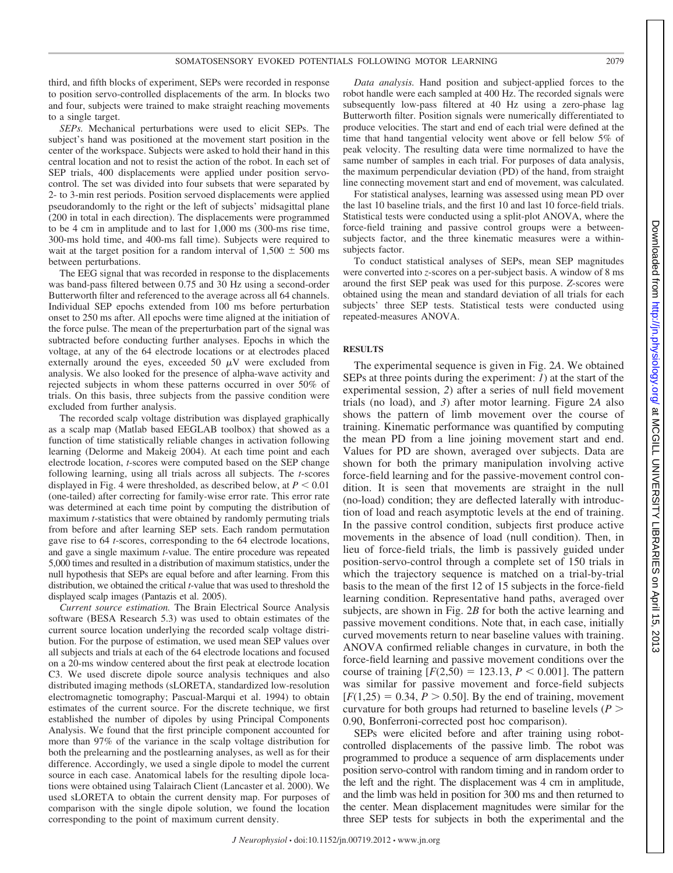third, and fifth blocks of experiment, SEPs were recorded in response to position servo-controlled displacements of the arm. In blocks two and four, subjects were trained to make straight reaching movements to a single target.

*SEPs.* Mechanical perturbations were used to elicit SEPs. The subject's hand was positioned at the movement start position in the center of the workspace. Subjects were asked to hold their hand in this central location and not to resist the action of the robot. In each set of SEP trials, 400 displacements were applied under position servocontrol. The set was divided into four subsets that were separated by 2- to 3-min rest periods. Position servoed displacements were applied pseudorandomly to the right or the left of subjects' midsagittal plane (200 in total in each direction). The displacements were programmed to be 4 cm in amplitude and to last for 1,000 ms (300-ms rise time, 300-ms hold time, and 400-ms fall time). Subjects were required to wait at the target position for a random interval of  $1,500 \pm 500$  ms between perturbations.

The EEG signal that was recorded in response to the displacements was band-pass filtered between 0.75 and 30 Hz using a second-order Butterworth filter and referenced to the average across all 64 channels. Individual SEP epochs extended from 100 ms before perturbation onset to 250 ms after. All epochs were time aligned at the initiation of the force pulse. The mean of the preperturbation part of the signal was subtracted before conducting further analyses. Epochs in which the voltage, at any of the 64 electrode locations or at electrodes placed externally around the eyes, exceeded 50  $\mu$ V were excluded from analysis. We also looked for the presence of alpha-wave activity and rejected subjects in whom these patterns occurred in over 50% of trials. On this basis, three subjects from the passive condition were excluded from further analysis.

The recorded scalp voltage distribution was displayed graphically as a scalp map (Matlab based EEGLAB toolbox) that showed as a function of time statistically reliable changes in activation following learning (Delorme and Makeig 2004). At each time point and each electrode location, *t*-scores were computed based on the SEP change following learning, using all trials across all subjects. The *t*-scores displayed in Fig. 4 were thresholded, as described below, at  $P < 0.01$ (one-tailed) after correcting for family-wise error rate. This error rate was determined at each time point by computing the distribution of maximum *t*-statistics that were obtained by randomly permuting trials from before and after learning SEP sets. Each random permutation gave rise to 64 *t*-scores, corresponding to the 64 electrode locations, and gave a single maximum *t*-value. The entire procedure was repeated 5,000 times and resulted in a distribution of maximum statistics, under the null hypothesis that SEPs are equal before and after learning. From this distribution, we obtained the critical *t*-value that was used to threshold the displayed scalp images (Pantazis et al. 2005).

*Current source estimation.* The Brain Electrical Source Analysis software (BESA Research 5.3) was used to obtain estimates of the current source location underlying the recorded scalp voltage distribution. For the purpose of estimation, we used mean SEP values over all subjects and trials at each of the 64 electrode locations and focused on a 20-ms window centered about the first peak at electrode location C3. We used discrete dipole source analysis techniques and also distributed imaging methods (sLORETA, standardized low-resolution electromagnetic tomography; Pascual-Marqui et al. 1994) to obtain estimates of the current source. For the discrete technique, we first established the number of dipoles by using Principal Components Analysis. We found that the first principle component accounted for more than 97% of the variance in the scalp voltage distribution for both the prelearning and the postlearning analyses, as well as for their difference. Accordingly, we used a single dipole to model the current source in each case. Anatomical labels for the resulting dipole locations were obtained using Talairach Client (Lancaster et al. 2000). We used sLORETA to obtain the current density map. For purposes of comparison with the single dipole solution, we found the location corresponding to the point of maximum current density.

*Data analysis.* Hand position and subject-applied forces to the robot handle were each sampled at 400 Hz. The recorded signals were subsequently low-pass filtered at 40 Hz using a zero-phase lag Butterworth filter. Position signals were numerically differentiated to produce velocities. The start and end of each trial were defined at the time that hand tangential velocity went above or fell below 5% of peak velocity. The resulting data were time normalized to have the same number of samples in each trial. For purposes of data analysis, the maximum perpendicular deviation (PD) of the hand, from straight line connecting movement start and end of movement, was calculated.

For statistical analyses, learning was assessed using mean PD over the last 10 baseline trials, and the first 10 and last 10 force-field trials. Statistical tests were conducted using a split-plot ANOVA, where the force-field training and passive control groups were a betweensubjects factor, and the three kinematic measures were a withinsubjects factor.

To conduct statistical analyses of SEPs, mean SEP magnitudes were converted into *z*-scores on a per-subject basis. A window of 8 ms around the first SEP peak was used for this purpose. *Z*-scores were obtained using the mean and standard deviation of all trials for each subjects' three SEP tests. Statistical tests were conducted using repeated-measures ANOVA.

## **RESULTS**

The experimental sequence is given in Fig. 2*A*. We obtained SEPs at three points during the experiment: *1*) at the start of the experimental session, *2*) after a series of null field movement trials (no load), and *3*) after motor learning. Figure 2*A* also shows the pattern of limb movement over the course of training. Kinematic performance was quantified by computing the mean PD from a line joining movement start and end. Values for PD are shown, averaged over subjects. Data are shown for both the primary manipulation involving active force-field learning and for the passive-movement control condition. It is seen that movements are straight in the null (no-load) condition; they are deflected laterally with introduction of load and reach asymptotic levels at the end of training. In the passive control condition, subjects first produce active movements in the absence of load (null condition). Then, in lieu of force-field trials, the limb is passively guided under position-servo-control through a complete set of 150 trials in which the trajectory sequence is matched on a trial-by-trial basis to the mean of the first 12 of 15 subjects in the force-field learning condition. Representative hand paths, averaged over subjects, are shown in Fig. 2*B* for both the active learning and passive movement conditions. Note that, in each case, initially curved movements return to near baseline values with training. ANOVA confirmed reliable changes in curvature, in both the force-field learning and passive movement conditions over the course of training  $[F(2,50) = 123.13, P \le 0.001]$ . The pattern was similar for passive movement and force-field subjects  $[F(1,25) = 0.34, P > 0.50]$ . By the end of training, movement curvature for both groups had returned to baseline levels (*P* 0.90, Bonferroni-corrected post hoc comparison).

SEPs were elicited before and after training using robotcontrolled displacements of the passive limb. The robot was programmed to produce a sequence of arm displacements under position servo-control with random timing and in random order to the left and the right. The displacement was 4 cm in amplitude, and the limb was held in position for 300 ms and then returned to the center. Mean displacement magnitudes were similar for the three SEP tests for subjects in both the experimental and the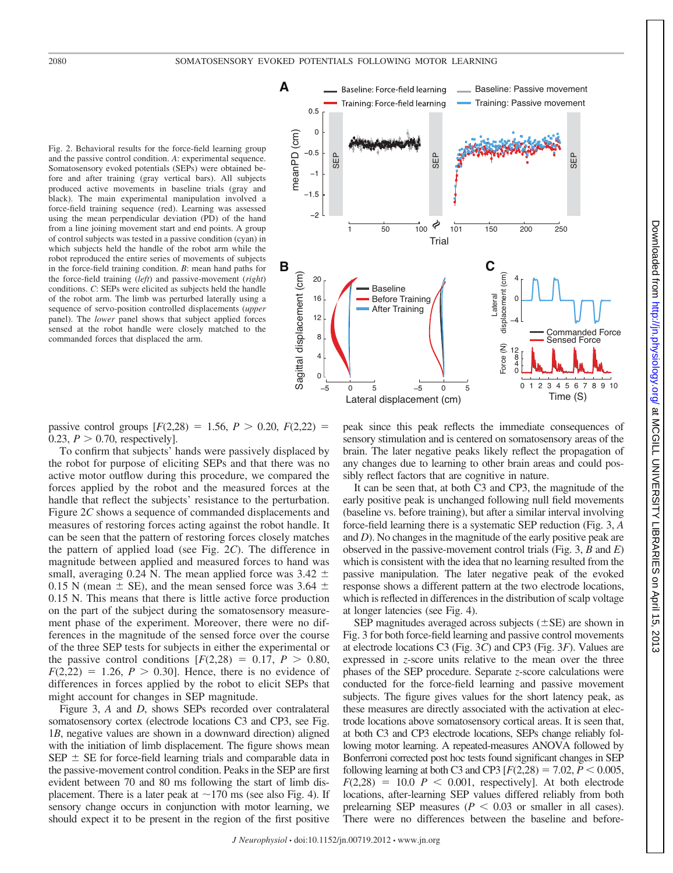Fig. 2. Behavioral results for the force-field learning group and the passive control condition. *A*: experimental sequence. Somatosensory evoked potentials (SEPs) were obtained before and after training (gray vertical bars). All subjects produced active movements in baseline trials (gray and black). The main experimental manipulation involved a force-field training sequence (red). Learning was assessed using the mean perpendicular deviation (PD) of the hand from a line joining movement start and end points. A group of control subjects was tested in a passive condition (cyan) in which subjects held the handle of the robot arm while the robot reproduced the entire series of movements of subjects in the force-field training condition. *B*: mean hand paths for the force-field training (*left*) and passive-movement (*right*) conditions. *C*: SEPs were elicited as subjects held the handle of the robot arm. The limb was perturbed laterally using a sequence of servo-position controlled displacements (*upper* panel). The *lower* panel shows that subject applied forces sensed at the robot handle were closely matched to the commanded forces that displaced the arm.



passive control groups  $[F(2,28) = 1.56, P > 0.20, F(2,22) =$ 0.23,  $P > 0.70$ , respectively].

To confirm that subjects' hands were passively displaced by the robot for purpose of eliciting SEPs and that there was no active motor outflow during this procedure, we compared the forces applied by the robot and the measured forces at the handle that reflect the subjects' resistance to the perturbation. Figure 2*C* shows a sequence of commanded displacements and measures of restoring forces acting against the robot handle. It can be seen that the pattern of restoring forces closely matches the pattern of applied load (see Fig. 2*C*). The difference in magnitude between applied and measured forces to hand was small, averaging 0.24 N. The mean applied force was 3.42  $\pm$ 0.15 N (mean  $\pm$  SE), and the mean sensed force was 3.64  $\pm$ 0.15 N. This means that there is little active force production on the part of the subject during the somatosensory measurement phase of the experiment. Moreover, there were no differences in the magnitude of the sensed force over the course of the three SEP tests for subjects in either the experimental or the passive control conditions  $[F(2,28) = 0.17, P > 0.80,$  $F(2,22) = 1.26$ ,  $P > 0.30$ . Hence, there is no evidence of differences in forces applied by the robot to elicit SEPs that might account for changes in SEP magnitude.

Figure 3, *A* and *D*, shows SEPs recorded over contralateral somatosensory cortex (electrode locations C3 and CP3, see Fig. 1*B*, negative values are shown in a downward direction) aligned with the initiation of limb displacement. The figure shows mean  $SEP \pm SE$  for force-field learning trials and comparable data in the passive-movement control condition. Peaks in the SEP are first evident between 70 and 80 ms following the start of limb displacement. There is a later peak at  $\sim$ 170 ms (see also Fig. 4). If sensory change occurs in conjunction with motor learning, we should expect it to be present in the region of the first positive peak since this peak reflects the immediate consequences of sensory stimulation and is centered on somatosensory areas of the brain. The later negative peaks likely reflect the propagation of any changes due to learning to other brain areas and could possibly reflect factors that are cognitive in nature.

It can be seen that, at both C3 and CP3, the magnitude of the early positive peak is unchanged following null field movements (baseline vs. before training), but after a similar interval involving force-field learning there is a systematic SEP reduction (Fig. 3, *A* and *D*). No changes in the magnitude of the early positive peak are observed in the passive-movement control trials (Fig. 3, *B* and *E*) which is consistent with the idea that no learning resulted from the passive manipulation. The later negative peak of the evoked response shows a different pattern at the two electrode locations, which is reflected in differences in the distribution of scalp voltage at longer latencies (see Fig. 4).

SEP magnitudes averaged across subjects  $(\pm$ SE) are shown in Fig. 3 for both force-field learning and passive control movements at electrode locations C3 (Fig. 3*C*) and CP3 (Fig. 3*F*). Values are expressed in *z*-score units relative to the mean over the three phases of the SEP procedure. Separate *z*-score calculations were conducted for the force-field learning and passive movement subjects. The figure gives values for the short latency peak, as these measures are directly associated with the activation at electrode locations above somatosensory cortical areas. It is seen that, at both C3 and CP3 electrode locations, SEPs change reliably following motor learning. A repeated-measures ANOVA followed by Bonferroni corrected post hoc tests found significant changes in SEP following learning at both C3 and CP3  $[ F(2,28) = 7.02, P \le 0.005,$  $F(2,28) = 10.0$  *P*  $\lt$  0.001, respectively]. At both electrode locations, after-learning SEP values differed reliably from both prelearning SEP measures  $(P < 0.03$  or smaller in all cases). There were no differences between the baseline and before-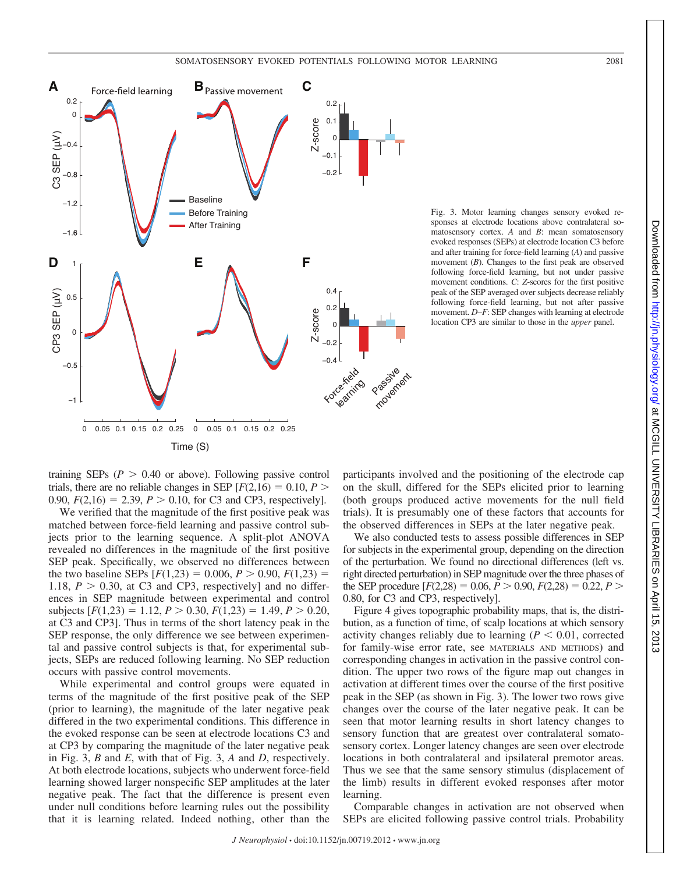

Fig. 3. Motor learning changes sensory evoked responses at electrode locations above contralateral somatosensory cortex. *A* and *B*: mean somatosensory evoked responses (SEPs) at electrode location C3 before and after training for force-field learning (*A*) and passive movement (*B*). Changes to the first peak are observed following force-field learning, but not under passive movement conditions. *C*: *Z*-scores for the first positive peak of the SEP averaged over subjects decrease reliably following force-field learning, but not after passive movement. *D*–*F*: SEP changes with learning at electrode location CP3 are similar to those in the *upper* panel.

training SEPs  $(P > 0.40$  or above). Following passive control trials, there are no reliable changes in SEP  $[F(2,16) = 0.10, P >$ 0.90,  $F(2,16) = 2.39$ ,  $P > 0.10$ , for C3 and CP3, respectively].

We verified that the magnitude of the first positive peak was matched between force-field learning and passive control subjects prior to the learning sequence. A split-plot ANOVA revealed no differences in the magnitude of the first positive SEP peak. Specifically, we observed no differences between the two baseline SEPs  $[F(1,23) = 0.006, P > 0.90, F(1,23) =$ 1.18,  $P > 0.30$ , at C3 and CP3, respectively] and no differences in SEP magnitude between experimental and control subjects  $[F(1,23) = 1.12, P > 0.30, F(1,23) = 1.49, P > 0.20,$ at C3 and CP3]. Thus in terms of the short latency peak in the SEP response, the only difference we see between experimental and passive control subjects is that, for experimental subjects, SEPs are reduced following learning. No SEP reduction occurs with passive control movements.

While experimental and control groups were equated in terms of the magnitude of the first positive peak of the SEP (prior to learning), the magnitude of the later negative peak differed in the two experimental conditions. This difference in the evoked response can be seen at electrode locations C3 and at CP3 by comparing the magnitude of the later negative peak in Fig. 3, *B* and *E*, with that of Fig. 3, *A* and *D*, respectively. At both electrode locations, subjects who underwent force-field learning showed larger nonspecific SEP amplitudes at the later negative peak. The fact that the difference is present even under null conditions before learning rules out the possibility that it is learning related. Indeed nothing, other than the

participants involved and the positioning of the electrode cap on the skull, differed for the SEPs elicited prior to learning (both groups produced active movements for the null field trials). It is presumably one of these factors that accounts for the observed differences in SEPs at the later negative peak.

We also conducted tests to assess possible differences in SEP for subjects in the experimental group, depending on the direction of the perturbation. We found no directional differences (left vs. right directed perturbation) in SEP magnitude over the three phases of the SEP procedure  $[F(2,28) = 0.06, P > 0.90, F(2,28) = 0.22, P >$ 0.80, for C3 and CP3, respectively].

Figure 4 gives topographic probability maps, that is, the distribution, as a function of time, of scalp locations at which sensory activity changes reliably due to learning  $(P \leq 0.01$ , corrected for family-wise error rate, see MATERIALS AND METHODS) and corresponding changes in activation in the passive control condition. The upper two rows of the figure map out changes in activation at different times over the course of the first positive peak in the SEP (as shown in Fig. 3). The lower two rows give changes over the course of the later negative peak. It can be seen that motor learning results in short latency changes to sensory function that are greatest over contralateral somatosensory cortex. Longer latency changes are seen over electrode locations in both contralateral and ipsilateral premotor areas. Thus we see that the same sensory stimulus (displacement of the limb) results in different evoked responses after motor learning.

Comparable changes in activation are not observed when SEPs are elicited following passive control trials. Probability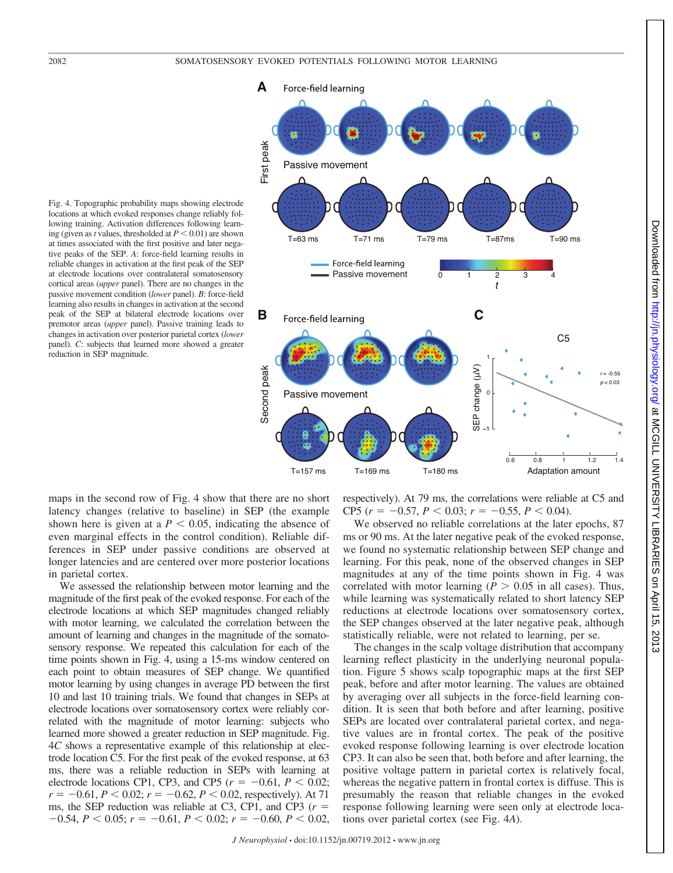

Fig. 4. Topographic probability maps showing electrode locations at which evoked responses change reliably following training. Activation differences following learning (given as *t* values, thresholded at  $P < 0.01$ ) are shown at times associated with the first positive and later negative peaks of the SEP. *A*: force-field learning results in reliable changes in activation at the first peak of the SEP at electrode locations over contralateral somatosensory cortical areas (*upper* panel). There are no changes in the passive movement condition (*lower* panel). *B*: force-field learning also results in changes in activation at the second peak of the SEP at bilateral electrode locations over premotor areas (*upper* panel). Passive training leads to changes in activation over posterior parietal cortex (*lower* panel). *C*: subjects that learned more showed a greater reduction in SEP magnitude.

maps in the second row of Fig. 4 show that there are no short latency changes (relative to baseline) in SEP (the example shown here is given at a  $P < 0.05$ , indicating the absence of even marginal effects in the control condition). Reliable differences in SEP under passive conditions are observed at longer latencies and are centered over more posterior locations in parietal cortex.

We assessed the relationship between motor learning and the magnitude of the first peak of the evoked response. For each of the electrode locations at which SEP magnitudes changed reliably with motor learning, we calculated the correlation between the amount of learning and changes in the magnitude of the somatosensory response. We repeated this calculation for each of the time points shown in Fig. 4, using a 15-ms window centered on each point to obtain measures of SEP change. We quantified motor learning by using changes in average PD between the first 10 and last 10 training trials. We found that changes in SEPs at electrode locations over somatosensory cortex were reliably correlated with the magnitude of motor learning: subjects who learned more showed a greater reduction in SEP magnitude. Fig. 4*C* shows a representative example of this relationship at electrode location C5. For the first peak of the evoked response, at 63 ms, there was a reliable reduction in SEPs with learning at electrode locations CP1, CP3, and CP5 ( $r = -0.61$ ,  $P < 0.02$ ;  $r = -0.61, P < 0.02; r = -0.62, P < 0.02$ , respectively). At 71 ms, the SEP reduction was reliable at C3, CP1, and CP3 (*r*  $-0.54, P \le 0.05$ ;  $r = -0.61, P \le 0.02$ ;  $r = -0.60, P \le 0.02$ ,

respectively). At 79 ms, the correlations were reliable at C5 and CP5 ( $r = -0.57$ ,  $P < 0.03$ ;  $r = -0.55$ ,  $P < 0.04$ ).

We observed no reliable correlations at the later epochs, 87 ms or 90 ms. At the later negative peak of the evoked response, we found no systematic relationship between SEP change and learning. For this peak, none of the observed changes in SEP magnitudes at any of the time points shown in Fig. 4 was correlated with motor learning ( $P > 0.05$  in all cases). Thus, while learning was systematically related to short latency SEP reductions at electrode locations over somatosensory cortex, the SEP changes observed at the later negative peak, although statistically reliable, were not related to learning, per se.

The changes in the scalp voltage distribution that accompany learning reflect plasticity in the underlying neuronal population. Figure 5 shows scalp topographic maps at the first SEP peak, before and after motor learning. The values are obtained by averaging over all subjects in the force-field learning condition. It is seen that both before and after learning, positive SEPs are located over contralateral parietal cortex, and negative values are in frontal cortex. The peak of the positive evoked response following learning is over electrode location CP3. It can also be seen that, both before and after learning, the positive voltage pattern in parietal cortex is relatively focal, whereas the negative pattern in frontal cortex is diffuse. This is presumably the reason that reliable changes in the evoked response following learning were seen only at electrode locations over parietal cortex (see Fig. 4*A*).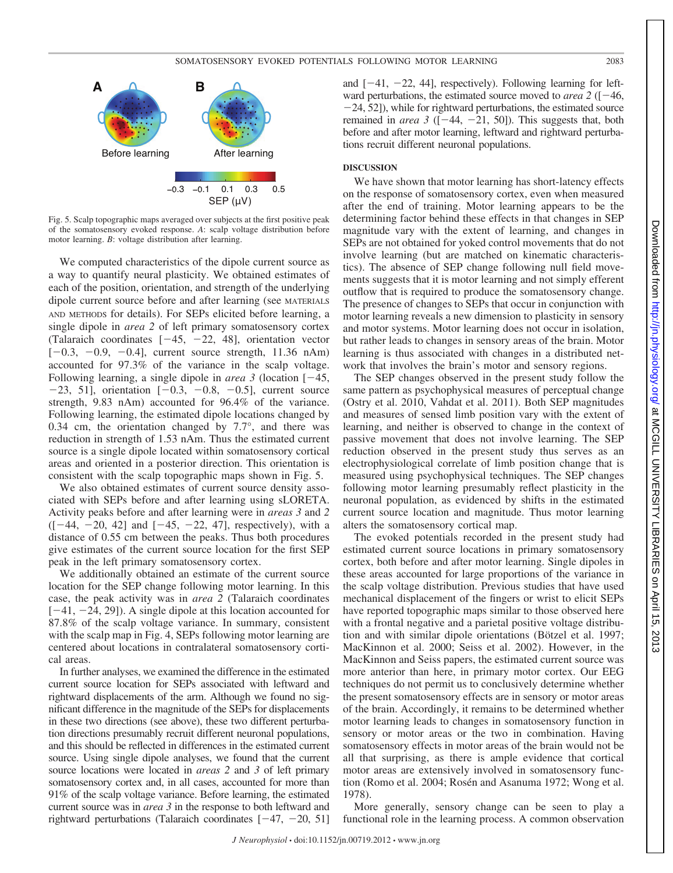

Fig. 5. Scalp topographic maps averaged over subjects at the first positive peak of the somatosensory evoked response. *A*: scalp voltage distribution before motor learning. *B*: voltage distribution after learning.

We computed characteristics of the dipole current source as a way to quantify neural plasticity. We obtained estimates of each of the position, orientation, and strength of the underlying dipole current source before and after learning (see MATERIALS AND METHODS for details). For SEPs elicited before learning, a single dipole in *area 2* of left primary somatosensory cortex (Talaraich coordinates  $[-45, -22, 48]$ , orientation vector  $[-0.3, -0.9, -0.4]$ , current source strength, 11.36 nAm) accounted for 97.3% of the variance in the scalp voltage. Following learning, a single dipole in *area* 3 (location  $[-45,$  $-23$ , 51], orientation  $[-0.3, -0.8, -0.5]$ , current source strength, 9.83 nAm) accounted for 96.4% of the variance. Following learning, the estimated dipole locations changed by 0.34 cm, the orientation changed by 7.7°, and there was reduction in strength of 1.53 nAm. Thus the estimated current source is a single dipole located within somatosensory cortical areas and oriented in a posterior direction. This orientation is consistent with the scalp topographic maps shown in Fig. 5.

We also obtained estimates of current source density associated with SEPs before and after learning using sLORETA. Activity peaks before and after learning were in *areas 3* and *2*  $([-44, -20, 42]$  and  $[-45, -22, 47]$ , respectively), with a distance of 0.55 cm between the peaks. Thus both procedures give estimates of the current source location for the first SEP peak in the left primary somatosensory cortex.

We additionally obtained an estimate of the current source location for the SEP change following motor learning. In this case, the peak activity was in *area 2* (Talaraich coordinates  $[-41, -24, 29]$ . A single dipole at this location accounted for 87.8% of the scalp voltage variance. In summary, consistent with the scalp map in Fig. 4, SEPs following motor learning are centered about locations in contralateral somatosensory cortical areas.

In further analyses, we examined the difference in the estimated current source location for SEPs associated with leftward and rightward displacements of the arm. Although we found no significant difference in the magnitude of the SEPs for displacements in these two directions (see above), these two different perturbation directions presumably recruit different neuronal populations, and this should be reflected in differences in the estimated current source. Using single dipole analyses, we found that the current source locations were located in *areas 2* and *3* of left primary somatosensory cortex and, in all cases, accounted for more than 91% of the scalp voltage variance. Before learning, the estimated current source was in *area 3* in the response to both leftward and rightward perturbations (Talaraich coordinates  $[-47, -20, 51]$ 

and  $[-41, -22, 44]$ , respectively). Following learning for leftward perturbations, the estimated source moved to *area* 2 ( $[-46,$  $-24$ , 52]), while for rightward perturbations, the estimated source remained in *area* 3 ( $[-44, -21, 50]$ ). This suggests that, both before and after motor learning, leftward and rightward perturbations recruit different neuronal populations.

### **DISCUSSION**

We have shown that motor learning has short-latency effects on the response of somatosensory cortex, even when measured after the end of training. Motor learning appears to be the determining factor behind these effects in that changes in SEP magnitude vary with the extent of learning, and changes in SEPs are not obtained for yoked control movements that do not involve learning (but are matched on kinematic characteristics). The absence of SEP change following null field movements suggests that it is motor learning and not simply efferent outflow that is required to produce the somatosensory change. The presence of changes to SEPs that occur in conjunction with motor learning reveals a new dimension to plasticity in sensory and motor systems. Motor learning does not occur in isolation, but rather leads to changes in sensory areas of the brain. Motor learning is thus associated with changes in a distributed network that involves the brain's motor and sensory regions.

The SEP changes observed in the present study follow the same pattern as psychophysical measures of perceptual change (Ostry et al. 2010, Vahdat et al. 2011). Both SEP magnitudes and measures of sensed limb position vary with the extent of learning, and neither is observed to change in the context of passive movement that does not involve learning. The SEP reduction observed in the present study thus serves as an electrophysiological correlate of limb position change that is measured using psychophysical techniques. The SEP changes following motor learning presumably reflect plasticity in the neuronal population, as evidenced by shifts in the estimated current source location and magnitude. Thus motor learning alters the somatosensory cortical map.

The evoked potentials recorded in the present study had estimated current source locations in primary somatosensory cortex, both before and after motor learning. Single dipoles in these areas accounted for large proportions of the variance in the scalp voltage distribution. Previous studies that have used mechanical displacement of the fingers or wrist to elicit SEPs have reported topographic maps similar to those observed here with a frontal negative and a parietal positive voltage distribution and with similar dipole orientations (Bötzel et al. 1997; MacKinnon et al. 2000; Seiss et al. 2002). However, in the MacKinnon and Seiss papers, the estimated current source was more anterior than here, in primary motor cortex. Our EEG techniques do not permit us to conclusively determine whether the present somatosensory effects are in sensory or motor areas of the brain. Accordingly, it remains to be determined whether motor learning leads to changes in somatosensory function in sensory or motor areas or the two in combination. Having somatosensory effects in motor areas of the brain would not be all that surprising, as there is ample evidence that cortical motor areas are extensively involved in somatosensory function (Romo et al. 2004; Rosén and Asanuma 1972; Wong et al. 1978).

More generally, sensory change can be seen to play a functional role in the learning process. A common observation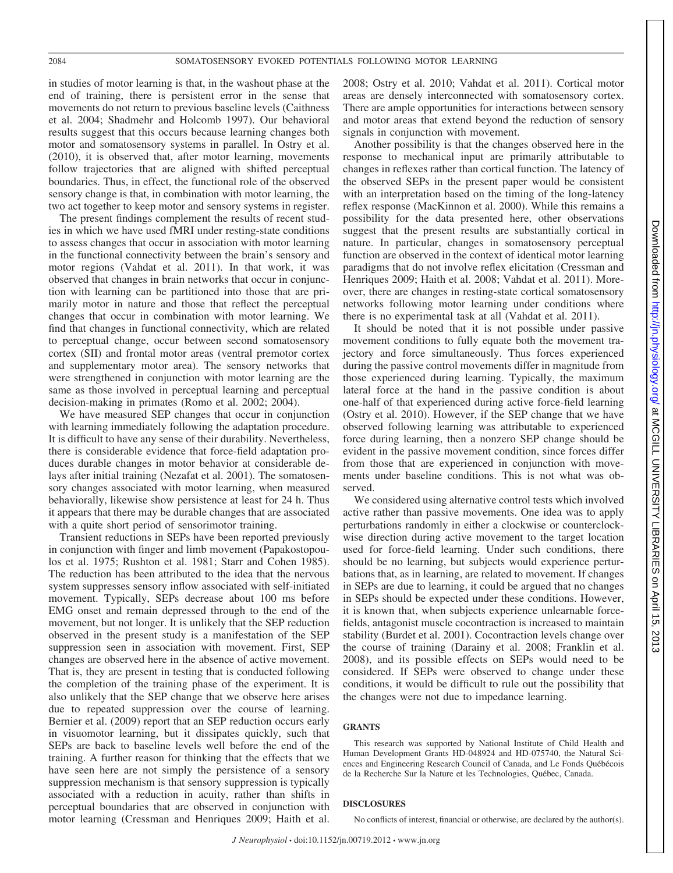in studies of motor learning is that, in the washout phase at the end of training, there is persistent error in the sense that movements do not return to previous baseline levels (Caithness et al. 2004; Shadmehr and Holcomb 1997). Our behavioral results suggest that this occurs because learning changes both motor and somatosensory systems in parallel. In Ostry et al. (2010), it is observed that, after motor learning, movements follow trajectories that are aligned with shifted perceptual boundaries. Thus, in effect, the functional role of the observed sensory change is that, in combination with motor learning, the two act together to keep motor and sensory systems in register.

The present findings complement the results of recent studies in which we have used fMRI under resting-state conditions to assess changes that occur in association with motor learning in the functional connectivity between the brain's sensory and motor regions (Vahdat et al. 2011). In that work, it was observed that changes in brain networks that occur in conjunction with learning can be partitioned into those that are primarily motor in nature and those that reflect the perceptual changes that occur in combination with motor learning. We find that changes in functional connectivity, which are related to perceptual change, occur between second somatosensory cortex (SII) and frontal motor areas (ventral premotor cortex and supplementary motor area). The sensory networks that were strengthened in conjunction with motor learning are the same as those involved in perceptual learning and perceptual decision-making in primates (Romo et al. 2002; 2004).

We have measured SEP changes that occur in conjunction with learning immediately following the adaptation procedure. It is difficult to have any sense of their durability. Nevertheless, there is considerable evidence that force-field adaptation produces durable changes in motor behavior at considerable delays after initial training (Nezafat et al. 2001). The somatosensory changes associated with motor learning, when measured behaviorally, likewise show persistence at least for 24 h. Thus it appears that there may be durable changes that are associated with a quite short period of sensorimotor training.

Transient reductions in SEPs have been reported previously in conjunction with finger and limb movement (Papakostopoulos et al. 1975; Rushton et al. 1981; Starr and Cohen 1985). The reduction has been attributed to the idea that the nervous system suppresses sensory inflow associated with self-initiated movement. Typically, SEPs decrease about 100 ms before EMG onset and remain depressed through to the end of the movement, but not longer. It is unlikely that the SEP reduction observed in the present study is a manifestation of the SEP suppression seen in association with movement. First, SEP changes are observed here in the absence of active movement. That is, they are present in testing that is conducted following the completion of the training phase of the experiment. It is also unlikely that the SEP change that we observe here arises due to repeated suppression over the course of learning. Bernier et al. (2009) report that an SEP reduction occurs early in visuomotor learning, but it dissipates quickly, such that SEPs are back to baseline levels well before the end of the training. A further reason for thinking that the effects that we have seen here are not simply the persistence of a sensory suppression mechanism is that sensory suppression is typically associated with a reduction in acuity, rather than shifts in perceptual boundaries that are observed in conjunction with motor learning (Cressman and Henriques 2009; Haith et al. 2008; Ostry et al. 2010; Vahdat et al. 2011). Cortical motor areas are densely interconnected with somatosensory cortex. There are ample opportunities for interactions between sensory and motor areas that extend beyond the reduction of sensory signals in conjunction with movement.

Another possibility is that the changes observed here in the response to mechanical input are primarily attributable to changes in reflexes rather than cortical function. The latency of the observed SEPs in the present paper would be consistent with an interpretation based on the timing of the long-latency reflex response (MacKinnon et al. 2000). While this remains a possibility for the data presented here, other observations suggest that the present results are substantially cortical in nature. In particular, changes in somatosensory perceptual function are observed in the context of identical motor learning paradigms that do not involve reflex elicitation (Cressman and Henriques 2009; Haith et al. 2008; Vahdat et al. 2011). Moreover, there are changes in resting-state cortical somatosensory networks following motor learning under conditions where there is no experimental task at all (Vahdat et al. 2011).

It should be noted that it is not possible under passive movement conditions to fully equate both the movement trajectory and force simultaneously. Thus forces experienced during the passive control movements differ in magnitude from those experienced during learning. Typically, the maximum lateral force at the hand in the passive condition is about one-half of that experienced during active force-field learning (Ostry et al. 2010). However, if the SEP change that we have observed following learning was attributable to experienced force during learning, then a nonzero SEP change should be evident in the passive movement condition, since forces differ from those that are experienced in conjunction with movements under baseline conditions. This is not what was observed.

We considered using alternative control tests which involved active rather than passive movements. One idea was to apply perturbations randomly in either a clockwise or counterclockwise direction during active movement to the target location used for force-field learning. Under such conditions, there should be no learning, but subjects would experience perturbations that, as in learning, are related to movement. If changes in SEPs are due to learning, it could be argued that no changes in SEPs should be expected under these conditions. However, it is known that, when subjects experience unlearnable forcefields, antagonist muscle cocontraction is increased to maintain stability (Burdet et al. 2001). Cocontraction levels change over the course of training (Darainy et al. 2008; Franklin et al. 2008), and its possible effects on SEPs would need to be considered. If SEPs were observed to change under these conditions, it would be difficult to rule out the possibility that the changes were not due to impedance learning.

### **GRANTS**

This research was supported by National Institute of Child Health and Human Development Grants HD-048924 and HD-075740, the Natural Sciences and Engineering Research Council of Canada, and Le Fonds Québécois de la Recherche Sur la Nature et les Technologies, Québec, Canada.

# **DISCLOSURES**

No conflicts of interest, financial or otherwise, are declared by the author(s).